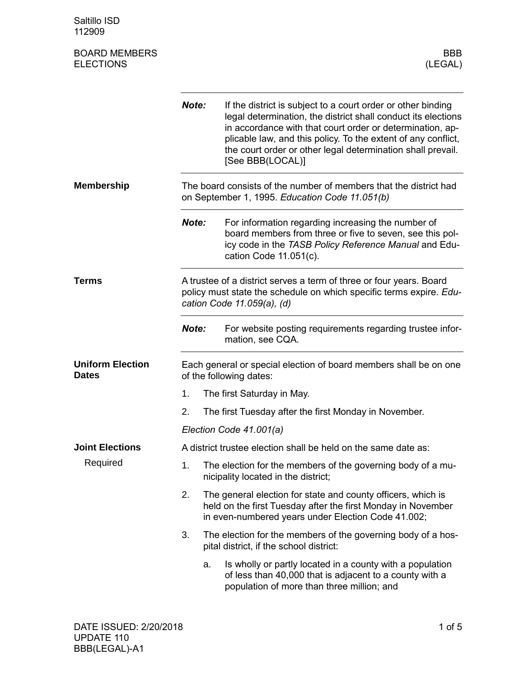Saltillo ISD 112909

| <b>BOARD MEMBERS</b><br><b>ELECTIONS</b> |                                                                                                                                                                          | <b>BBB</b><br>(LEGAL)                                                                                                                                                                                                                                                                                                                          |  |  |
|------------------------------------------|--------------------------------------------------------------------------------------------------------------------------------------------------------------------------|------------------------------------------------------------------------------------------------------------------------------------------------------------------------------------------------------------------------------------------------------------------------------------------------------------------------------------------------|--|--|
|                                          | Note:                                                                                                                                                                    | If the district is subject to a court order or other binding<br>legal determination, the district shall conduct its elections<br>in accordance with that court order or determination, ap-<br>plicable law, and this policy. To the extent of any conflict,<br>the court order or other legal determination shall prevail.<br>[See BBB(LOCAL)] |  |  |
| <b>Membership</b>                        |                                                                                                                                                                          | The board consists of the number of members that the district had<br>on September 1, 1995. Education Code 11.051(b)                                                                                                                                                                                                                            |  |  |
|                                          | Note:                                                                                                                                                                    | For information regarding increasing the number of<br>board members from three or five to seven, see this pol-<br>icy code in the TASB Policy Reference Manual and Edu-<br>cation Code 11.051(c).                                                                                                                                              |  |  |
| <b>Terms</b>                             | A trustee of a district serves a term of three or four years. Board<br>policy must state the schedule on which specific terms expire. Edu-<br>cation Code 11.059(a), (d) |                                                                                                                                                                                                                                                                                                                                                |  |  |
|                                          | Note:                                                                                                                                                                    | For website posting requirements regarding trustee infor-<br>mation, see CQA.                                                                                                                                                                                                                                                                  |  |  |
| <b>Uniform Election</b><br><b>Dates</b>  | Each general or special election of board members shall be on one<br>of the following dates:                                                                             |                                                                                                                                                                                                                                                                                                                                                |  |  |
|                                          | 1.                                                                                                                                                                       | The first Saturday in May.                                                                                                                                                                                                                                                                                                                     |  |  |
|                                          | 2.                                                                                                                                                                       | The first Tuesday after the first Monday in November.                                                                                                                                                                                                                                                                                          |  |  |
|                                          |                                                                                                                                                                          | Election Code 41.001(a)                                                                                                                                                                                                                                                                                                                        |  |  |
| <b>Joint Elections</b>                   |                                                                                                                                                                          | A district trustee election shall be held on the same date as:                                                                                                                                                                                                                                                                                 |  |  |
| Required                                 | 1.                                                                                                                                                                       | The election for the members of the governing body of a mu-<br>nicipality located in the district;                                                                                                                                                                                                                                             |  |  |
|                                          | 2.                                                                                                                                                                       | The general election for state and county officers, which is<br>held on the first Tuesday after the first Monday in November<br>in even-numbered years under Election Code 41.002;                                                                                                                                                             |  |  |
|                                          | 3.                                                                                                                                                                       | The election for the members of the governing body of a hos-<br>pital district, if the school district:                                                                                                                                                                                                                                        |  |  |
|                                          |                                                                                                                                                                          | Is wholly or partly located in a county with a population<br>a.                                                                                                                                                                                                                                                                                |  |  |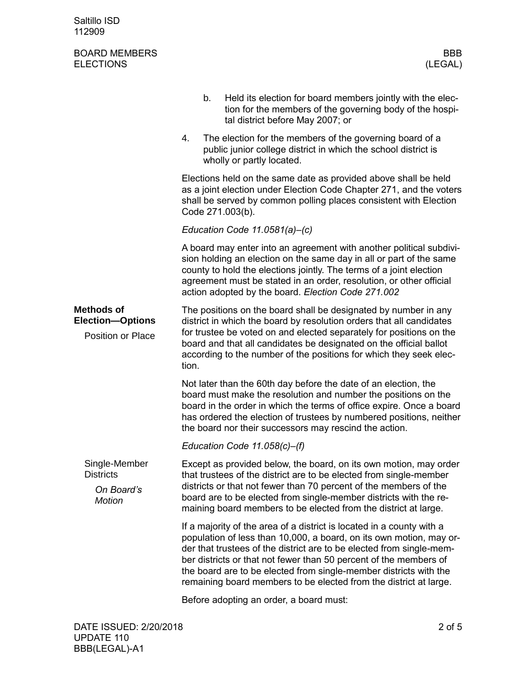## BOARD MEMBERS BOARD MEMBERS (LEGAL) **ELECTIONS**

|                                                                          | b.<br>tal district before May 2007; or                                                                                                                                                                                                                                                                                                                                                                                              | Held its election for board members jointly with the elec-<br>tion for the members of the governing body of the hospi-                      |  |  |  |
|--------------------------------------------------------------------------|-------------------------------------------------------------------------------------------------------------------------------------------------------------------------------------------------------------------------------------------------------------------------------------------------------------------------------------------------------------------------------------------------------------------------------------|---------------------------------------------------------------------------------------------------------------------------------------------|--|--|--|
|                                                                          | 4.<br>wholly or partly located.                                                                                                                                                                                                                                                                                                                                                                                                     | The election for the members of the governing board of a<br>public junior college district in which the school district is                  |  |  |  |
|                                                                          | Elections held on the same date as provided above shall be held<br>as a joint election under Election Code Chapter 271, and the voters<br>shall be served by common polling places consistent with Election<br>Code 271.003(b).                                                                                                                                                                                                     |                                                                                                                                             |  |  |  |
|                                                                          | Education Code $11.0581(a)$ -(c)                                                                                                                                                                                                                                                                                                                                                                                                    |                                                                                                                                             |  |  |  |
|                                                                          | A board may enter into an agreement with another political subdivi-<br>sion holding an election on the same day in all or part of the same<br>county to hold the elections jointly. The terms of a joint election<br>agreement must be stated in an order, resolution, or other official<br>action adopted by the board. Election Code 271.002                                                                                      |                                                                                                                                             |  |  |  |
| <b>Methods of</b><br><b>Election-Options</b><br><b>Position or Place</b> | The positions on the board shall be designated by number in any<br>district in which the board by resolution orders that all candidates<br>board and that all candidates be designated on the official ballot<br>tion.                                                                                                                                                                                                              | for trustee be voted on and elected separately for positions on the<br>according to the number of the positions for which they seek elec-   |  |  |  |
|                                                                          | Not later than the 60th day before the date of an election, the<br>board must make the resolution and number the positions on the<br>the board nor their successors may rescind the action.                                                                                                                                                                                                                                         | board in the order in which the terms of office expire. Once a board<br>has ordered the election of trustees by numbered positions, neither |  |  |  |
|                                                                          | Education Code $11.058(c)$ –(f)                                                                                                                                                                                                                                                                                                                                                                                                     |                                                                                                                                             |  |  |  |
| Single-Member<br><b>Districts</b><br>On Board's<br><b>Motion</b>         | that trustees of the district are to be elected from single-member<br>districts or that not fewer than 70 percent of the members of the<br>board are to be elected from single-member districts with the re-<br>maining board members to be elected from the district at large.                                                                                                                                                     | Except as provided below, the board, on its own motion, may order                                                                           |  |  |  |
|                                                                          | If a majority of the area of a district is located in a county with a<br>population of less than 10,000, a board, on its own motion, may or-<br>der that trustees of the district are to be elected from single-mem-<br>ber districts or that not fewer than 50 percent of the members of<br>the board are to be elected from single-member districts with the<br>remaining board members to be elected from the district at large. |                                                                                                                                             |  |  |  |
|                                                                          | Before adopting an order, a board must:                                                                                                                                                                                                                                                                                                                                                                                             |                                                                                                                                             |  |  |  |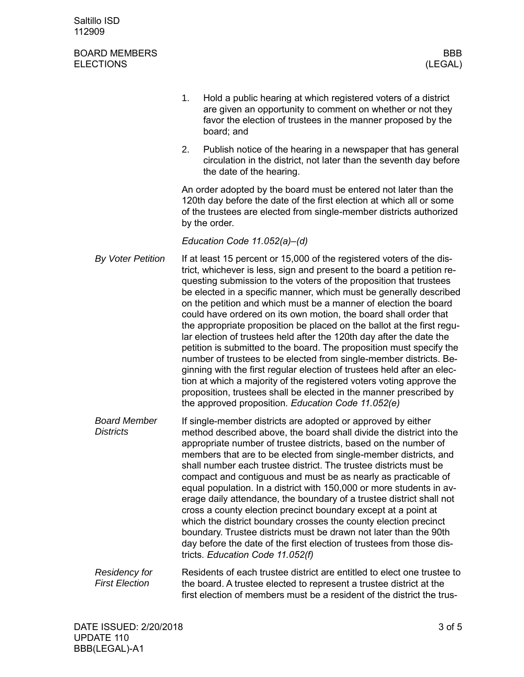| Saltillo ISD |  |
|--------------|--|
| 112909       |  |

## BOARD MEMBERS BOARD MEMBERS (LEGAL) **ELECTIONS**

|                                               | 1.                                                                                                                                                                                                                                                                                                                                                                                                                                                                                                                                                                                                                                                                                                                                                                                                                                                                                         | Hold a public hearing at which registered voters of a district<br>are given an opportunity to comment on whether or not they<br>favor the election of trustees in the manner proposed by the<br>board; and                                                                                                                                                                                                                                                                                                                                                                                                                                                                                                                                                                                                                                                                                                                                                                                                         |  |  |  |
|-----------------------------------------------|--------------------------------------------------------------------------------------------------------------------------------------------------------------------------------------------------------------------------------------------------------------------------------------------------------------------------------------------------------------------------------------------------------------------------------------------------------------------------------------------------------------------------------------------------------------------------------------------------------------------------------------------------------------------------------------------------------------------------------------------------------------------------------------------------------------------------------------------------------------------------------------------|--------------------------------------------------------------------------------------------------------------------------------------------------------------------------------------------------------------------------------------------------------------------------------------------------------------------------------------------------------------------------------------------------------------------------------------------------------------------------------------------------------------------------------------------------------------------------------------------------------------------------------------------------------------------------------------------------------------------------------------------------------------------------------------------------------------------------------------------------------------------------------------------------------------------------------------------------------------------------------------------------------------------|--|--|--|
|                                               | 2.                                                                                                                                                                                                                                                                                                                                                                                                                                                                                                                                                                                                                                                                                                                                                                                                                                                                                         | Publish notice of the hearing in a newspaper that has general<br>circulation in the district, not later than the seventh day before<br>the date of the hearing.                                                                                                                                                                                                                                                                                                                                                                                                                                                                                                                                                                                                                                                                                                                                                                                                                                                    |  |  |  |
|                                               | An order adopted by the board must be entered not later than the<br>120th day before the date of the first election at which all or some<br>of the trustees are elected from single-member districts authorized<br>by the order.                                                                                                                                                                                                                                                                                                                                                                                                                                                                                                                                                                                                                                                           |                                                                                                                                                                                                                                                                                                                                                                                                                                                                                                                                                                                                                                                                                                                                                                                                                                                                                                                                                                                                                    |  |  |  |
|                                               | Education Code 11.052(a)-(d)                                                                                                                                                                                                                                                                                                                                                                                                                                                                                                                                                                                                                                                                                                                                                                                                                                                               |                                                                                                                                                                                                                                                                                                                                                                                                                                                                                                                                                                                                                                                                                                                                                                                                                                                                                                                                                                                                                    |  |  |  |
| <b>By Voter Petition</b>                      |                                                                                                                                                                                                                                                                                                                                                                                                                                                                                                                                                                                                                                                                                                                                                                                                                                                                                            | If at least 15 percent or 15,000 of the registered voters of the dis-<br>trict, whichever is less, sign and present to the board a petition re-<br>questing submission to the voters of the proposition that trustees<br>be elected in a specific manner, which must be generally described<br>on the petition and which must be a manner of election the board<br>could have ordered on its own motion, the board shall order that<br>the appropriate proposition be placed on the ballot at the first regu-<br>lar election of trustees held after the 120th day after the date the<br>petition is submitted to the board. The proposition must specify the<br>number of trustees to be elected from single-member districts. Be-<br>ginning with the first regular election of trustees held after an elec-<br>tion at which a majority of the registered voters voting approve the<br>proposition, trustees shall be elected in the manner prescribed by<br>the approved proposition. Education Code 11.052(e) |  |  |  |
| <b>Board Member</b><br><b>Districts</b>       | If single-member districts are adopted or approved by either<br>method described above, the board shall divide the district into the<br>appropriate number of trustee districts, based on the number of<br>members that are to be elected from single-member districts, and<br>shall number each trustee district. The trustee districts must be<br>compact and contiguous and must be as nearly as practicable of<br>equal population. In a district with 150,000 or more students in av-<br>erage daily attendance, the boundary of a trustee district shall not<br>cross a county election precinct boundary except at a point at<br>which the district boundary crosses the county election precinct<br>boundary. Trustee districts must be drawn not later than the 90th<br>day before the date of the first election of trustees from those dis-<br>tricts. Education Code 11.052(f) |                                                                                                                                                                                                                                                                                                                                                                                                                                                                                                                                                                                                                                                                                                                                                                                                                                                                                                                                                                                                                    |  |  |  |
| <b>Residency for</b><br><b>First Election</b> |                                                                                                                                                                                                                                                                                                                                                                                                                                                                                                                                                                                                                                                                                                                                                                                                                                                                                            | Residents of each trustee district are entitled to elect one trustee to<br>the board. A trustee elected to represent a trustee district at the                                                                                                                                                                                                                                                                                                                                                                                                                                                                                                                                                                                                                                                                                                                                                                                                                                                                     |  |  |  |

first election of members must be a resident of the district the trus-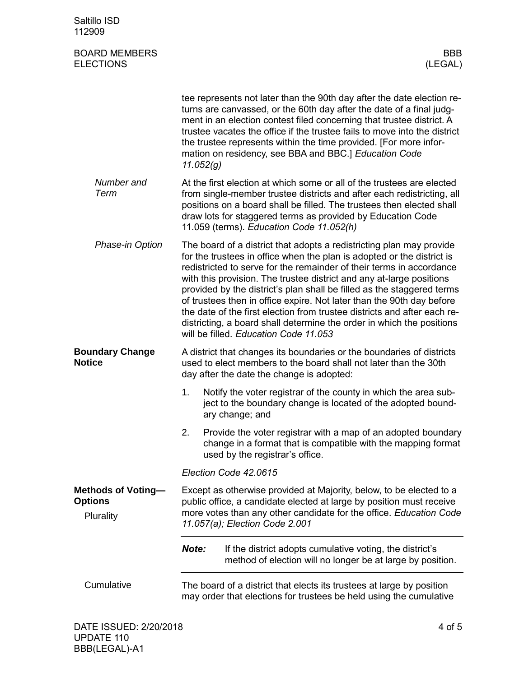| Saltillo ISD<br>112909                                   |                                                                                                                                                                                                                                                                                                                                                                                                                                                                                                                                                                                                                                                 |                                                                                                                                                                                                                                                                                                                                                                                                                                    |
|----------------------------------------------------------|-------------------------------------------------------------------------------------------------------------------------------------------------------------------------------------------------------------------------------------------------------------------------------------------------------------------------------------------------------------------------------------------------------------------------------------------------------------------------------------------------------------------------------------------------------------------------------------------------------------------------------------------------|------------------------------------------------------------------------------------------------------------------------------------------------------------------------------------------------------------------------------------------------------------------------------------------------------------------------------------------------------------------------------------------------------------------------------------|
| <b>BOARD MEMBERS</b><br><b>ELECTIONS</b>                 |                                                                                                                                                                                                                                                                                                                                                                                                                                                                                                                                                                                                                                                 | BBB<br>(LEGAL)                                                                                                                                                                                                                                                                                                                                                                                                                     |
|                                                          | 11.052(g)                                                                                                                                                                                                                                                                                                                                                                                                                                                                                                                                                                                                                                       | tee represents not later than the 90th day after the date election re-<br>turns are canvassed, or the 60th day after the date of a final judg-<br>ment in an election contest filed concerning that trustee district. A<br>trustee vacates the office if the trustee fails to move into the district<br>the trustee represents within the time provided. [For more infor-<br>mation on residency, see BBA and BBC.] Education Code |
| Number and<br>Term                                       |                                                                                                                                                                                                                                                                                                                                                                                                                                                                                                                                                                                                                                                 | At the first election at which some or all of the trustees are elected<br>from single-member trustee districts and after each redistricting, all<br>positions on a board shall be filled. The trustees then elected shall<br>draw lots for staggered terms as provided by Education Code<br>11.059 (terms). Education Code 11.052(h)                                                                                               |
| Phase-in Option                                          | The board of a district that adopts a redistricting plan may provide<br>for the trustees in office when the plan is adopted or the district is<br>redistricted to serve for the remainder of their terms in accordance<br>with this provision. The trustee district and any at-large positions<br>provided by the district's plan shall be filled as the staggered terms<br>of trustees then in office expire. Not later than the 90th day before<br>the date of the first election from trustee districts and after each re-<br>districting, a board shall determine the order in which the positions<br>will be filled. Education Code 11.053 |                                                                                                                                                                                                                                                                                                                                                                                                                                    |
| <b>Boundary Change</b><br><b>Notice</b>                  |                                                                                                                                                                                                                                                                                                                                                                                                                                                                                                                                                                                                                                                 | A district that changes its boundaries or the boundaries of districts<br>used to elect members to the board shall not later than the 30th<br>day after the date the change is adopted:                                                                                                                                                                                                                                             |
|                                                          | 1.                                                                                                                                                                                                                                                                                                                                                                                                                                                                                                                                                                                                                                              | Notify the voter registrar of the county in which the area sub-<br>ject to the boundary change is located of the adopted bound-<br>ary change; and                                                                                                                                                                                                                                                                                 |
|                                                          | 2.                                                                                                                                                                                                                                                                                                                                                                                                                                                                                                                                                                                                                                              | Provide the voter registrar with a map of an adopted boundary<br>change in a format that is compatible with the mapping format<br>used by the registrar's office.                                                                                                                                                                                                                                                                  |
|                                                          |                                                                                                                                                                                                                                                                                                                                                                                                                                                                                                                                                                                                                                                 | Election Code 42.0615                                                                                                                                                                                                                                                                                                                                                                                                              |
| <b>Methods of Voting-</b><br><b>Options</b><br>Plurality | Except as otherwise provided at Majority, below, to be elected to a<br>public office, a candidate elected at large by position must receive<br>more votes than any other candidate for the office. Education Code<br>11.057(a); Election Code 2.001                                                                                                                                                                                                                                                                                                                                                                                             |                                                                                                                                                                                                                                                                                                                                                                                                                                    |
|                                                          | Note:                                                                                                                                                                                                                                                                                                                                                                                                                                                                                                                                                                                                                                           | If the district adopts cumulative voting, the district's<br>method of election will no longer be at large by position.                                                                                                                                                                                                                                                                                                             |
| Cumulative                                               | The board of a district that elects its trustees at large by position<br>may order that elections for trustees be held using the cumulative                                                                                                                                                                                                                                                                                                                                                                                                                                                                                                     |                                                                                                                                                                                                                                                                                                                                                                                                                                    |